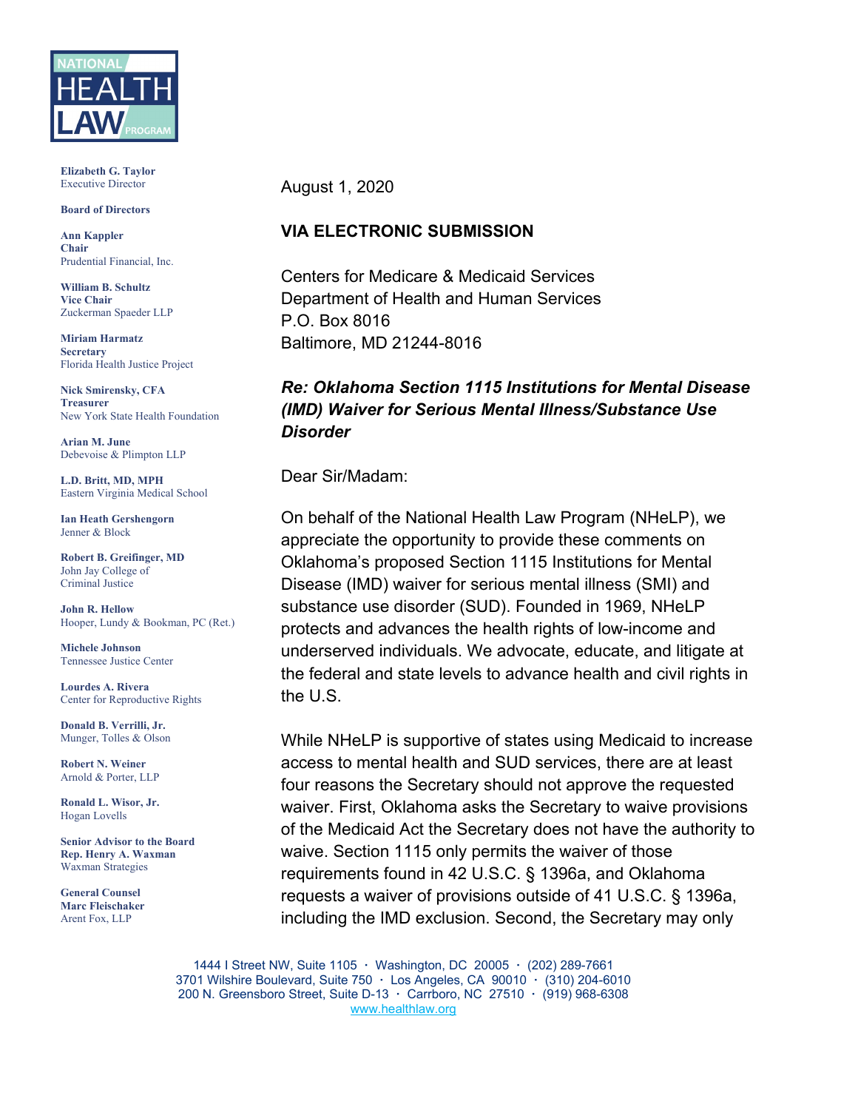

**Elizabeth G. Taylor** Executive Director

#### **Board of Directors**

**Ann Kappler Chair** Prudential Financial, Inc.

**William B. Schultz Vice Chair** Zuckerman Spaeder LLP

**Miriam Harmatz Secretary** Florida Health Justice Project

**Nick Smirensky, CFA Treasurer** New York State Health Foundation

**Arian M. June** Debevoise & Plimpton LLP

**L.D. Britt, MD, MPH** Eastern Virginia Medical School

**Ian Heath Gershengorn** Jenner & Block

**Robert B. Greifinger, MD** John Jay College of Criminal Justice

**John R. Hellow** Hooper, Lundy & Bookman, PC (Ret.)

**Michele Johnson** Tennessee Justice Center

**Lourdes A. Rivera** Center for Reproductive Rights

**Donald B. Verrilli, Jr.**  Munger, Tolles & Olson

**Robert N. Weiner** Arnold & Porter, LLP

**Ronald L. Wisor, Jr.** Hogan Lovells

**Senior Advisor to the Board Rep. Henry A. Waxman** Waxman Strategies

**General Counsel Marc Fleischaker** Arent Fox, LLP

August 1, 2020

#### **VIA ELECTRONIC SUBMISSION**

Centers for Medicare & Medicaid Services Department of Health and Human Services P.O. Box 8016 Baltimore, MD 21244-8016

#### *Re: Oklahoma Section 1115 Institutions for Mental Disease (IMD) Waiver for Serious Mental Illness/Substance Use Disorder*

Dear Sir/Madam:

On behalf of the National Health Law Program (NHeLP), we appreciate the opportunity to provide these comments on Oklahoma's proposed Section 1115 Institutions for Mental Disease (IMD) waiver for serious mental illness (SMI) and substance use disorder (SUD). Founded in 1969, NHeLP protects and advances the health rights of low-income and underserved individuals. We advocate, educate, and litigate at the federal and state levels to advance health and civil rights in the U.S.

While NHeLP is supportive of states using Medicaid to increase access to mental health and SUD services, there are at least four reasons the Secretary should not approve the requested waiver. First, Oklahoma asks the Secretary to waive provisions of the Medicaid Act the Secretary does not have the authority to waive. Section 1115 only permits the waiver of those requirements found in 42 U.S.C. § 1396a, and Oklahoma requests a waiver of provisions outside of 41 U.S.C. § 1396a, including the IMD exclusion. Second, the Secretary may only

1444 I Street NW, Suite 1105 **·** Washington, DC 20005 **·** (202) 289-7661 3701 Wilshire Boulevard, Suite 750 **·** Los Angeles, CA 90010 **·** (310) 204-6010 200 N. Greensboro Street, Suite D-13 **·** Carrboro, NC 27510 **·** (919) 968-6308 [www.healthlaw.org](http://www.healthlaw.org/)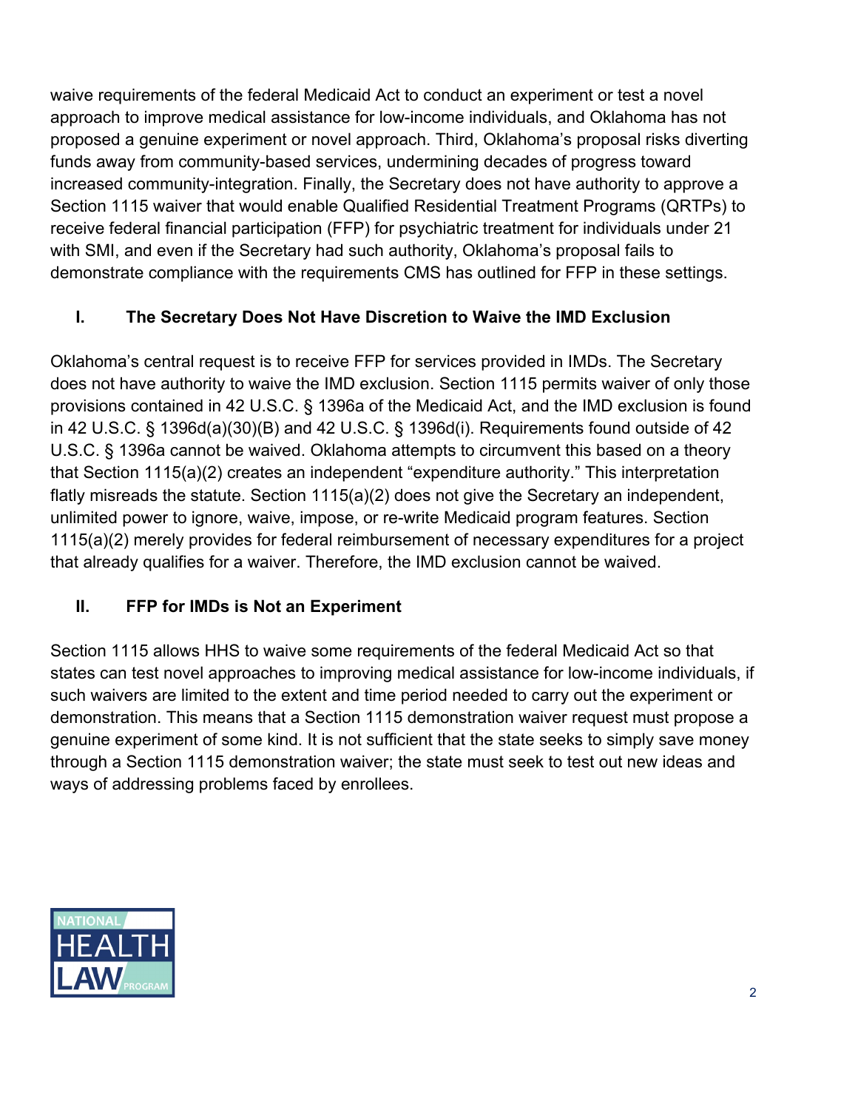waive requirements of the federal Medicaid Act to conduct an experiment or test a novel approach to improve medical assistance for low-income individuals, and Oklahoma has not proposed a genuine experiment or novel approach. Third, Oklahoma's proposal risks diverting funds away from community-based services, undermining decades of progress toward increased community-integration. Finally, the Secretary does not have authority to approve a Section 1115 waiver that would enable Qualified Residential Treatment Programs (QRTPs) to receive federal financial participation (FFP) for psychiatric treatment for individuals under 21 with SMI, and even if the Secretary had such authority, Oklahoma's proposal fails to demonstrate compliance with the requirements CMS has outlined for FFP in these settings.

# **I. The Secretary Does Not Have Discretion to Waive the IMD Exclusion**

Oklahoma's central request is to receive FFP for services provided in IMDs. The Secretary does not have authority to waive the IMD exclusion. Section 1115 permits waiver of only those provisions contained in 42 U.S.C. § 1396a of the Medicaid Act, and the IMD exclusion is found in 42 U.S.C. § 1396d(a)(30)(B) and 42 U.S.C. § 1396d(i). Requirements found outside of 42 U.S.C. § 1396a cannot be waived. Oklahoma attempts to circumvent this based on a theory that Section 1115(a)(2) creates an independent "expenditure authority." This interpretation flatly misreads the statute. Section 1115(a)(2) does not give the Secretary an independent, unlimited power to ignore, waive, impose, or re-write Medicaid program features. Section 1115(a)(2) merely provides for federal reimbursement of necessary expenditures for a project that already qualifies for a waiver. Therefore, the IMD exclusion cannot be waived.

# **II. FFP for IMDs is Not an Experiment**

Section 1115 allows HHS to waive some requirements of the federal Medicaid Act so that states can test novel approaches to improving medical assistance for low-income individuals, if such waivers are limited to the extent and time period needed to carry out the experiment or demonstration. This means that a Section 1115 demonstration waiver request must propose a genuine experiment of some kind. It is not sufficient that the state seeks to simply save money through a Section 1115 demonstration waiver; the state must seek to test out new ideas and ways of addressing problems faced by enrollees.

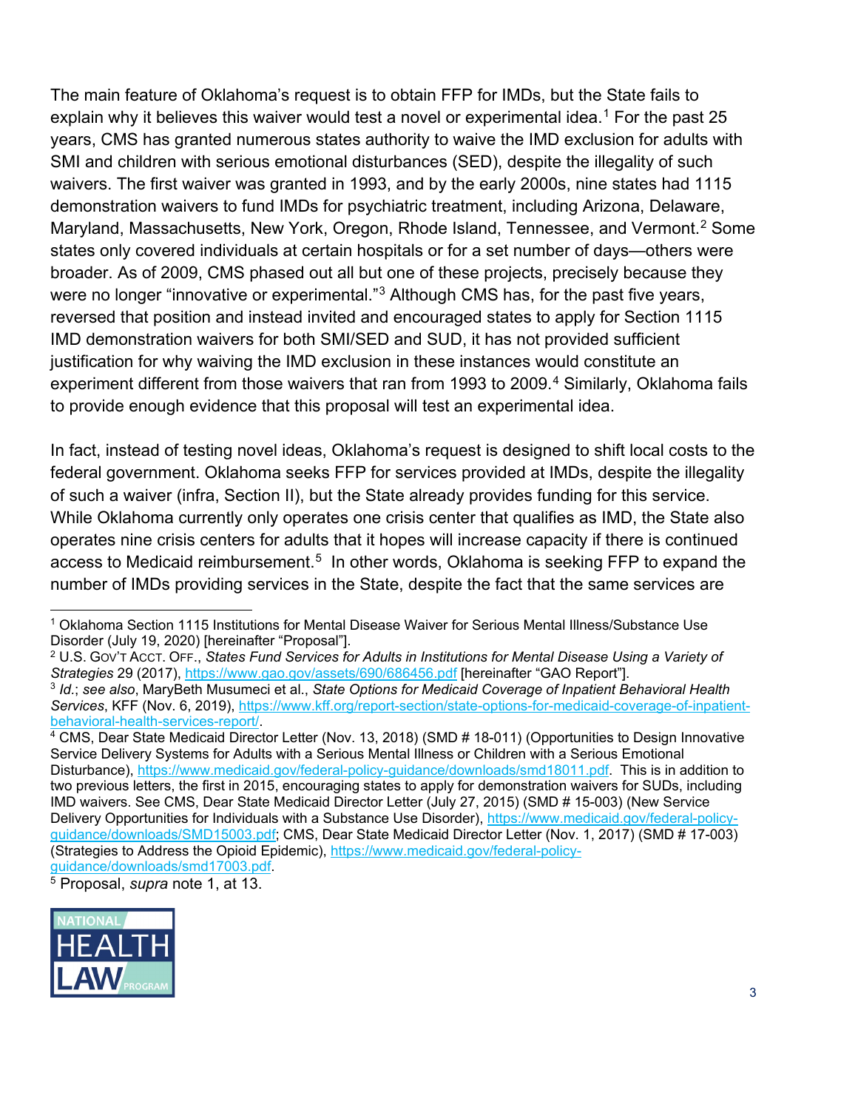The main feature of Oklahoma's request is to obtain FFP for IMDs, but the State fails to explain why it believes this waiver would test a novel or experimental idea. [1](#page-2-0) For the past 25 years, CMS has granted numerous states authority to waive the IMD exclusion for adults with SMI and children with serious emotional disturbances (SED), despite the illegality of such waivers. The first waiver was granted in 1993, and by the early 2000s, nine states had 1115 demonstration waivers to fund IMDs for psychiatric treatment, including Arizona, Delaware, Maryland, Massachusetts, New York, Oregon, Rhode Island, Tennessee, and Vermont.<sup>[2](#page-2-1)</sup> Some states only covered individuals at certain hospitals or for a set number of days—others were broader. As of 2009, CMS phased out all but one of these projects, precisely because they were no longer "innovative or experimental."<sup>[3](#page-2-2)</sup> Although CMS has, for the past five years, reversed that position and instead invited and encouraged states to apply for Section 1115 IMD demonstration waivers for both SMI/SED and SUD, it has not provided sufficient justification for why waiving the IMD exclusion in these instances would constitute an experiment different from those waivers that ran from 1993 to 2009. [4](#page-2-3) Similarly, Oklahoma fails to provide enough evidence that this proposal will test an experimental idea.

In fact, instead of testing novel ideas, Oklahoma's request is designed to shift local costs to the federal government. Oklahoma seeks FFP for services provided at IMDs, despite the illegality of such a waiver (infra, Section II), but the State already provides funding for this service. While Oklahoma currently only operates one crisis center that qualifies as IMD, the State also operates nine crisis centers for adults that it hopes will increase capacity if there is continued access to Medicaid reimbursement.<sup>5</sup> In other words, Oklahoma is seeking FFP to expand the number of IMDs providing services in the State, despite the fact that the same services are

<span id="page-2-1"></span><sup>2</sup> U.S. GOV'T ACCT. OFF., *States Fund Services for Adults in Institutions for Mental Disease Using a Variety of Strategies* 29 (2017),<https://www.gao.gov/assets/690/686456.pdf> [hereinafter "GAO Report"].

<span id="page-2-4"></span><sup>5</sup> Proposal, *supra* note 1, at 13.



<span id="page-2-0"></span> <sup>1</sup> Oklahoma Section 1115 Institutions for Mental Disease Waiver for Serious Mental Illness/Substance Use Disorder (July 19, 2020) [hereinafter "Proposal"].

<span id="page-2-2"></span><sup>3</sup> *Id.*; *see also*, MaryBeth Musumeci et al., *State Options for Medicaid Coverage of Inpatient Behavioral Health Services*, KFF (Nov. 6, 2019), [https://www.kff.org/report-section/state-options-for-medicaid-coverage-of-inpatient](https://www.kff.org/report-section/state-options-for-medicaid-coverage-of-inpatient-behavioral-health-services-report/)[behavioral-health-services-report/.](https://www.kff.org/report-section/state-options-for-medicaid-coverage-of-inpatient-behavioral-health-services-report/)

<span id="page-2-3"></span><sup>&</sup>lt;sup>4</sup> CMS, Dear State Medicaid Director Letter (Nov. 13, 2018) (SMD # 18-011) (Opportunities to Design Innovative Service Delivery Systems for Adults with a Serious Mental Illness or Children with a Serious Emotional Disturbance), [https://www.medicaid.gov/federal-policy-guidance/downloads/smd18011.pdf.](https://www.medicaid.gov/federal-policy-guidance/downloads/smd18011.pdf) This is in addition to two previous letters, the first in 2015, encouraging states to apply for demonstration waivers for SUDs, including IMD waivers. See CMS, Dear State Medicaid Director Letter (July 27, 2015) (SMD # 15-003) (New Service Delivery Opportunities for Individuals with a Substance Use Disorder), [https://www.medicaid.gov/federal-policy](https://www.medicaid.gov/federal-policy-guidance/downloads/SMD15003.pdf)[guidance/downloads/SMD15003.pdf;](https://www.medicaid.gov/federal-policy-guidance/downloads/SMD15003.pdf) CMS, Dear State Medicaid Director Letter (Nov. 1, 2017) (SMD # 17-003) (Strategies to Address the Opioid Epidemic), https://www.medicaid.gov/federal-policy-<br>guidance/downloads/smd17003.pdf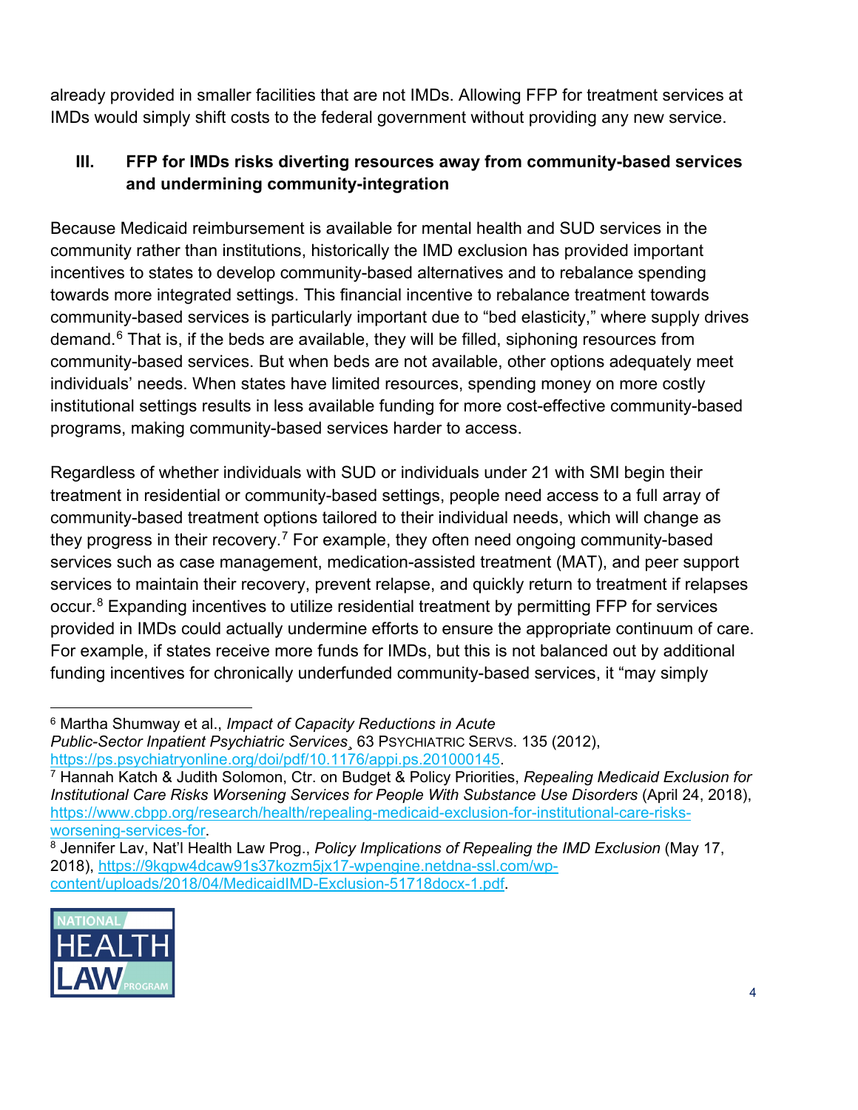already provided in smaller facilities that are not IMDs. Allowing FFP for treatment services at IMDs would simply shift costs to the federal government without providing any new service.

## **III. FFP for IMDs risks diverting resources away from community-based services and undermining community-integration**

Because Medicaid reimbursement is available for mental health and SUD services in the community rather than institutions, historically the IMD exclusion has provided important incentives to states to develop community-based alternatives and to rebalance spending towards more integrated settings. This financial incentive to rebalance treatment towards community-based services is particularly important due to "bed elasticity," where supply drives demand. $6$  That is, if the beds are available, they will be filled, siphoning resources from community-based services. But when beds are not available, other options adequately meet individuals' needs. When states have limited resources, spending money on more costly institutional settings results in less available funding for more cost-effective community-based programs, making community-based services harder to access.

Regardless of whether individuals with SUD or individuals under 21 with SMI begin their treatment in residential or community-based settings, people need access to a full array of community-based treatment options tailored to their individual needs, which will change as they progress in their recovery.<sup>[7](#page-3-1)</sup> For example, they often need ongoing community-based services such as case management, medication-assisted treatment (MAT), and peer support services to maintain their recovery, prevent relapse, and quickly return to treatment if relapses occur.<sup>[8](#page-3-2)</sup> Expanding incentives to utilize residential treatment by permitting FFP for services provided in IMDs could actually undermine efforts to ensure the appropriate continuum of care. For example, if states receive more funds for IMDs, but this is not balanced out by additional funding incentives for chronically underfunded community-based services, it "may simply

<span id="page-3-2"></span><sup>8</sup> Jennifer Lav, Nat'l Health Law Prog., *Policy Implications of Repealing the IMD Exclusion* (May 17, 2018), [https://9kqpw4dcaw91s37kozm5jx17-wpengine.netdna-ssl.com/wp](https://9kqpw4dcaw91s37kozm5jx17-wpengine.netdna-ssl.com/wp-content/uploads/2018/04/MedicaidIMD-Exclusion-51718docx-1.pdf)[content/uploads/2018/04/MedicaidIMD-Exclusion-51718docx-1.pdf.](https://9kqpw4dcaw91s37kozm5jx17-wpengine.netdna-ssl.com/wp-content/uploads/2018/04/MedicaidIMD-Exclusion-51718docx-1.pdf)



<span id="page-3-0"></span> <sup>6</sup> Martha Shumway et al., *Impact of Capacity Reductions in Acute Public-Sector Inpatient Psychiatric Services¸* 63 PSYCHIATRIC SERVS. 135 (2012), [https://ps.psychiatryonline.org/doi/pdf/10.1176/appi.ps.201000145.](https://ps.psychiatryonline.org/doi/pdf/10.1176/appi.ps.201000145)

<span id="page-3-1"></span><sup>7</sup> Hannah Katch & Judith Solomon, Ctr. on Budget & Policy Priorities, *Repealing Medicaid Exclusion for Institutional Care Risks Worsening Services for People With Substance Use Disorders (April 24, 2018),* [https://www.cbpp.org/research/health/repealing-medicaid-exclusion-for-institutional-care-risks](https://www.cbpp.org/research/health/repealing-medicaid-exclusion-for-institutional-care-risks-worsening-services-for)[worsening-services-for.](https://www.cbpp.org/research/health/repealing-medicaid-exclusion-for-institutional-care-risks-worsening-services-for)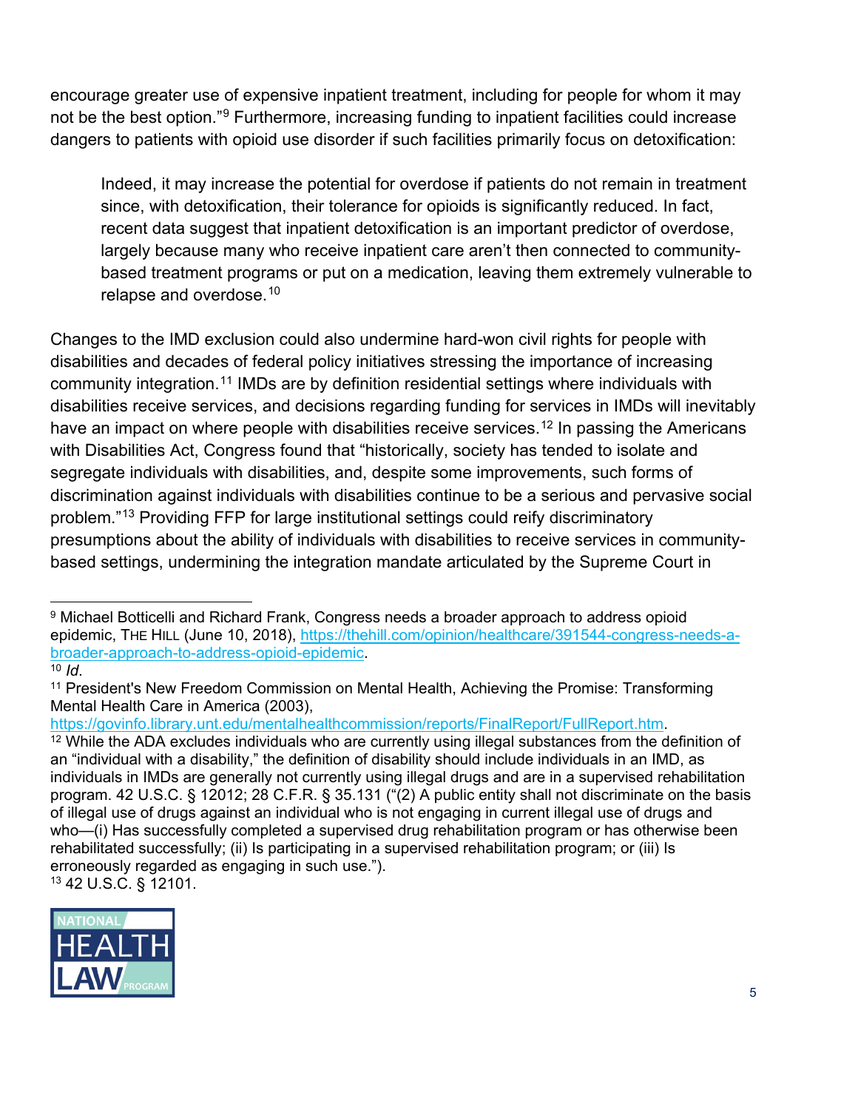encourage greater use of expensive inpatient treatment, including for people for whom it may not be the best option."<sup>[9](#page-4-0)</sup> Furthermore, increasing funding to inpatient facilities could increase dangers to patients with opioid use disorder if such facilities primarily focus on detoxification:

Indeed, it may increase the potential for overdose if patients do not remain in treatment since, with detoxification, their tolerance for opioids is significantly reduced. In fact, recent data suggest that inpatient detoxification is an important predictor of overdose, largely because many who receive inpatient care aren't then connected to communitybased treatment programs or put on a medication, leaving them extremely vulnerable to relapse and overdose.[10](#page-4-1)

Changes to the IMD exclusion could also undermine hard-won civil rights for people with disabilities and decades of federal policy initiatives stressing the importance of increasing community integration.<sup>[11](#page-4-2)</sup> IMDs are by definition residential settings where individuals with disabilities receive services, and decisions regarding funding for services in IMDs will inevitably have an impact on where people with disabilities receive services.<sup>[12](#page-4-3)</sup> In passing the Americans with Disabilities Act, Congress found that "historically, society has tended to isolate and segregate individuals with disabilities, and, despite some improvements, such forms of discrimination against individuals with disabilities continue to be a serious and pervasive social problem."[13](#page-4-4) Providing FFP for large institutional settings could reify discriminatory presumptions about the ability of individuals with disabilities to receive services in communitybased settings, undermining the integration mandate articulated by the Supreme Court in

[https://govinfo.library.unt.edu/mentalhealthcommission/reports/FinalReport/FullReport.htm.](https://govinfo.library.unt.edu/mentalhealthcommission/reports/FinalReport/FullReport.htm)

<span id="page-4-4"></span>

<span id="page-4-0"></span> <sup>9</sup> Michael Botticelli and Richard Frank, Congress needs a broader approach to address opioid epidemic, THE HILL (June 10, 2018), [https://thehill.com/opinion/healthcare/391544-congress-needs-a](https://thehill.com/opinion/healthcare/391544-congress-needs-a-broader-approach-to-address-opioid-epidemic)[broader-approach-to-address-opioid-epidemic.](https://thehill.com/opinion/healthcare/391544-congress-needs-a-broader-approach-to-address-opioid-epidemic) <sup>10</sup> *Id*.

<span id="page-4-2"></span><span id="page-4-1"></span><sup>&</sup>lt;sup>11</sup> President's New Freedom Commission on Mental Health, Achieving the Promise: Transforming Mental Health Care in America (2003),

<span id="page-4-3"></span> $12$  While the ADA excludes individuals who are currently using illegal substances from the definition of an "individual with a disability," the definition of disability should include individuals in an IMD, as individuals in IMDs are generally not currently using illegal drugs and are in a supervised rehabilitation program. 42 U.S.C. § 12012; 28 C.F.R. § 35.131 ("(2) A public entity shall not discriminate on the basis of illegal use of drugs against an individual who is not engaging in current illegal use of drugs and who—(i) Has successfully completed a supervised drug rehabilitation program or has otherwise been rehabilitated successfully; (ii) Is participating in a supervised rehabilitation program; or (iii) Is erroneously regarded as engaging in such use."). <sup>13</sup> 42 U.S.C. § 12101.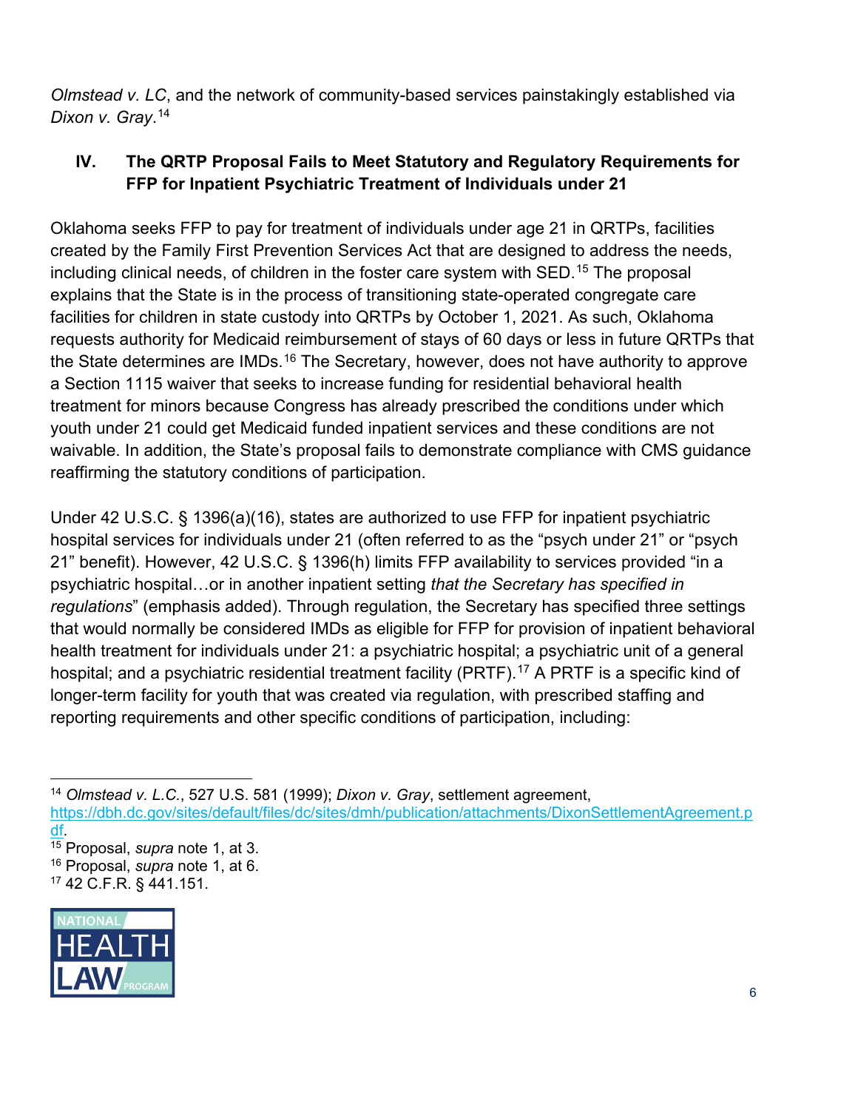*Olmstead v. LC*, and the network of community-based services painstakingly established via *Dixon v. Gray*. [14](#page-5-0)

## **IV. The QRTP Proposal Fails to Meet Statutory and Regulatory Requirements for FFP for Inpatient Psychiatric Treatment of Individuals under 21**

Oklahoma seeks FFP to pay for treatment of individuals under age 21 in QRTPs, facilities created by the Family First Prevention Services Act that are designed to address the needs, including clinical needs, of children in the foster care system with SED. [15](#page-5-1) The proposal explains that the State is in the process of transitioning state-operated congregate care facilities for children in state custody into QRTPs by October 1, 2021. As such, Oklahoma requests authority for Medicaid reimbursement of stays of 60 days or less in future QRTPs that the State determines are IMDs.<sup>[16](#page-5-2)</sup> The Secretary, however, does not have authority to approve a Section 1115 waiver that seeks to increase funding for residential behavioral health treatment for minors because Congress has already prescribed the conditions under which youth under 21 could get Medicaid funded inpatient services and these conditions are not waivable. In addition, the State's proposal fails to demonstrate compliance with CMS guidance reaffirming the statutory conditions of participation.

Under 42 U.S.C. § 1396(a)(16), states are authorized to use FFP for inpatient psychiatric hospital services for individuals under 21 (often referred to as the "psych under 21" or "psych 21" benefit). However, 42 U.S.C. § 1396(h) limits FFP availability to services provided "in a psychiatric hospital…or in another inpatient setting *that the Secretary has specified in regulations*" (emphasis added). Through regulation, the Secretary has specified three settings that would normally be considered IMDs as eligible for FFP for provision of inpatient behavioral health treatment for individuals under 21: a psychiatric hospital; a psychiatric unit of a general hospital; and a psychiatric residential treatment facility (PRTF).<sup>[17](#page-5-3)</sup> A PRTF is a specific kind of longer-term facility for youth that was created via regulation, with prescribed staffing and reporting requirements and other specific conditions of participation, including:

<span id="page-5-3"></span><span id="page-5-2"></span><span id="page-5-1"></span><sup>15</sup> Proposal, *supra* note 1, at 3. <sup>16</sup> Proposal, *supra* note 1, at 6. <sup>17</sup> 42 C.F.R. § 441.151.



<span id="page-5-0"></span> <sup>14</sup> *Olmstead v. L.C.*, 527 U.S. 581 (1999); *Dixon v. Gray*, settlement agreement, [https://dbh.dc.gov/sites/default/files/dc/sites/dmh/publication/attachments/DixonSettlementAgreement.p](https://dbh.dc.gov/sites/default/files/dc/sites/dmh/publication/attachments/DixonSettlementAgreement.pdf) [df.](https://dbh.dc.gov/sites/default/files/dc/sites/dmh/publication/attachments/DixonSettlementAgreement.pdf)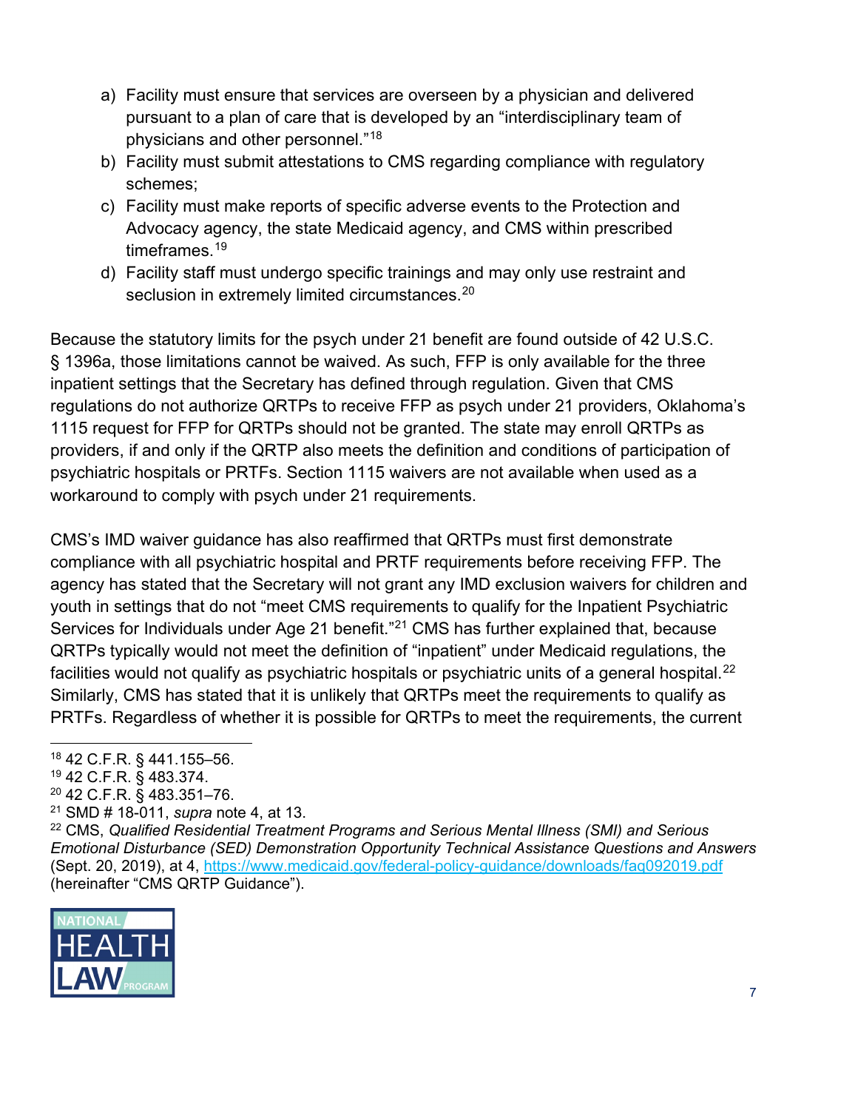- a) Facility must ensure that services are overseen by a physician and delivered pursuant to a plan of care that is developed by an "interdisciplinary team of physicians and other personnel."[18](#page-6-0)
- b) Facility must submit attestations to CMS regarding compliance with regulatory schemes;
- c) Facility must make reports of specific adverse events to the Protection and Advocacy agency, the state Medicaid agency, and CMS within prescribed timeframes.<sup>[19](#page-6-1)</sup>
- d) Facility staff must undergo specific trainings and may only use restraint and seclusion in extremely limited circumstances.<sup>[20](#page-6-2)</sup>

Because the statutory limits for the psych under 21 benefit are found outside of 42 U.S.C. § 1396a, those limitations cannot be waived. As such, FFP is only available for the three inpatient settings that the Secretary has defined through regulation. Given that CMS regulations do not authorize QRTPs to receive FFP as psych under 21 providers, Oklahoma's 1115 request for FFP for QRTPs should not be granted. The state may enroll QRTPs as providers, if and only if the QRTP also meets the definition and conditions of participation of psychiatric hospitals or PRTFs. Section 1115 waivers are not available when used as a workaround to comply with psych under 21 requirements.

CMS's IMD waiver guidance has also reaffirmed that QRTPs must first demonstrate compliance with all psychiatric hospital and PRTF requirements before receiving FFP. The agency has stated that the Secretary will not grant any IMD exclusion waivers for children and youth in settings that do not "meet CMS requirements to qualify for the Inpatient Psychiatric Services for Individuals under Age [21](#page-6-3) benefit."<sup>21</sup> CMS has further explained that, because QRTPs typically would not meet the definition of "inpatient" under Medicaid regulations, the facilities would not qualify as psychiatric hospitals or psychiatric units of a general hospital.<sup>[22](#page-6-4)</sup> Similarly, CMS has stated that it is unlikely that QRTPs meet the requirements to qualify as PRTFs. Regardless of whether it is possible for QRTPs to meet the requirements, the current

- <span id="page-6-2"></span><sup>20</sup> 42 C.F.R. § 483.351–76.
- <sup>21</sup> SMD # 18-011, *supra* note 4, at 13.

<span id="page-6-4"></span><span id="page-6-3"></span><sup>22</sup> CMS, *Qualified Residential Treatment Programs and Serious Mental Illness (SMI) and Serious Emotional Disturbance (SED) Demonstration Opportunity Technical Assistance Questions and Answers*  (Sept. 20, 2019), at 4,<https://www.medicaid.gov/federal-policy-guidance/downloads/faq092019.pdf> (hereinafter "CMS QRTP Guidance").



<span id="page-6-0"></span> <sup>18</sup> 42 C.F.R. § 441.155–56.

<span id="page-6-1"></span><sup>19</sup> 42 C.F.R. § 483.374.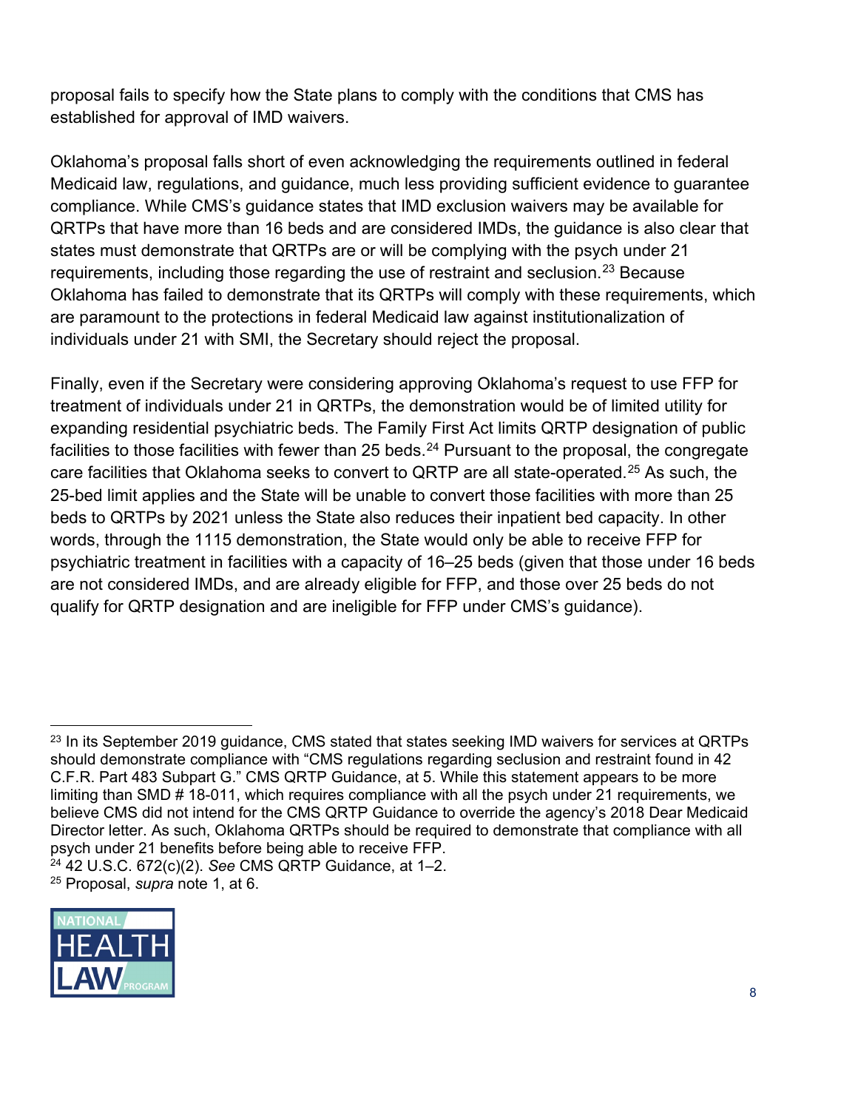proposal fails to specify how the State plans to comply with the conditions that CMS has established for approval of IMD waivers.

Oklahoma's proposal falls short of even acknowledging the requirements outlined in federal Medicaid law, regulations, and guidance, much less providing sufficient evidence to guarantee compliance. While CMS's guidance states that IMD exclusion waivers may be available for QRTPs that have more than 16 beds and are considered IMDs, the guidance is also clear that states must demonstrate that QRTPs are or will be complying with the psych under 21 requirements, including those regarding the use of restraint and seclusion.<sup>[23](#page-7-0)</sup> Because Oklahoma has failed to demonstrate that its QRTPs will comply with these requirements, which are paramount to the protections in federal Medicaid law against institutionalization of individuals under 21 with SMI, the Secretary should reject the proposal.

Finally, even if the Secretary were considering approving Oklahoma's request to use FFP for treatment of individuals under 21 in QRTPs, the demonstration would be of limited utility for expanding residential psychiatric beds. The Family First Act limits QRTP designation of public facilities to those facilities with fewer than 25 beds.<sup>[24](#page-7-1)</sup> Pursuant to the proposal, the congregate care facilities that Oklahoma seeks to convert to QRTP are all state-operated.<sup>[25](#page-7-2)</sup> As such, the 25-bed limit applies and the State will be unable to convert those facilities with more than 25 beds to QRTPs by 2021 unless the State also reduces their inpatient bed capacity. In other words, through the 1115 demonstration, the State would only be able to receive FFP for psychiatric treatment in facilities with a capacity of 16–25 beds (given that those under 16 beds are not considered IMDs, and are already eligible for FFP, and those over 25 beds do not qualify for QRTP designation and are ineligible for FFP under CMS's guidance).

<span id="page-7-2"></span><span id="page-7-1"></span><sup>24</sup> 42 U.S.C. 672(c)(2). *See* CMS QRTP Guidance, at 1–2. <sup>25</sup> Proposal, *supra* note 1, at 6.



<span id="page-7-0"></span><sup>&</sup>lt;sup>23</sup> In its September 2019 guidance, CMS stated that states seeking IMD waivers for services at QRTPs should demonstrate compliance with "CMS regulations regarding seclusion and restraint found in 42 C.F.R. Part 483 Subpart G." CMS QRTP Guidance, at 5. While this statement appears to be more limiting than SMD # 18-011, which requires compliance with all the psych under 21 requirements, we believe CMS did not intend for the CMS QRTP Guidance to override the agency's 2018 Dear Medicaid Director letter. As such, Oklahoma QRTPs should be required to demonstrate that compliance with all psych under 21 benefits before being able to receive FFP.